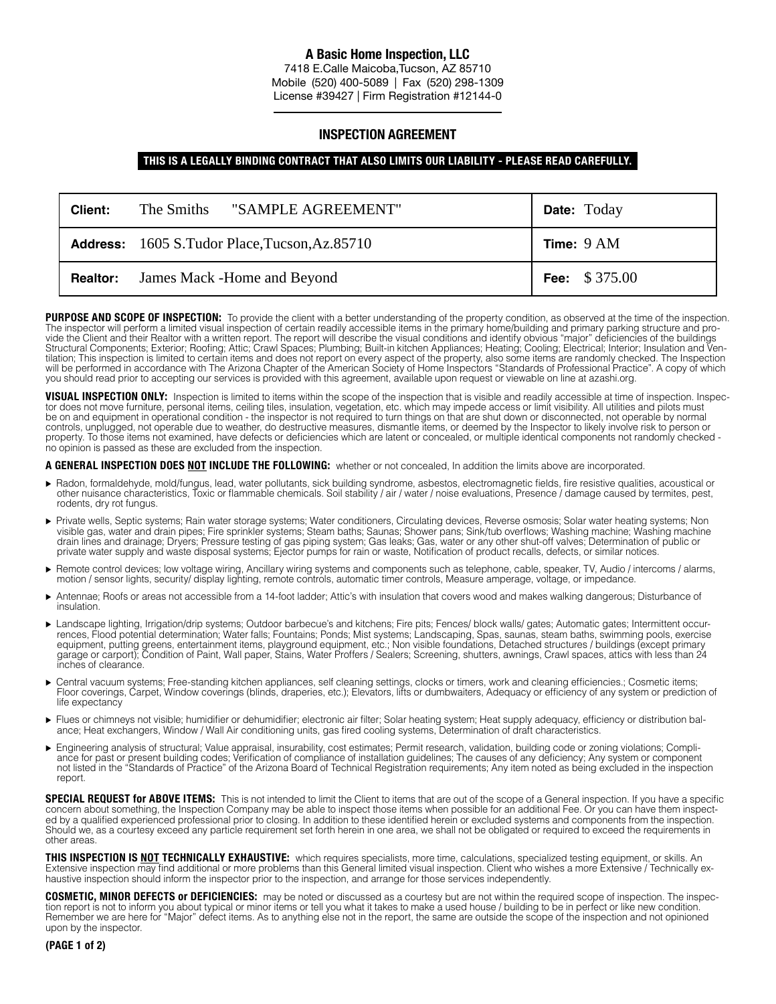## **A Basic Home Inspection, LLC**

7418 E.Calle Maicoba,Tucson, AZ 85710 Mobile (520) 400-5089 | Fax (520) 298-1309 License #39427 | Firm Registration #12144-0

## **INSPECTION AGREEMENT**

## **THIS IS A LEGALLY BINDING CONTRACT THAT ALSO LIMITS OUR LIABILITY - PLEASE READ CAREFULLY.**

| Client:         | "SAMPLE AGREEMENT"<br>The Smiths                     | <b>Date:</b> Today |
|-----------------|------------------------------------------------------|--------------------|
|                 | <b>Address:</b> 1605 S.Tudor Place, Tucson, Az.85710 | Time: $9 AM$       |
| <b>Realtor:</b> | James Mack -Home and Beyond                          | Fee: $$375.00$     |

PURPOSE AND SCOPE OF INSPECTION: To provide the client with a better understanding of the property condition, as observed at the time of the inspection. The inspector will perform a limited visual inspection of certain readily accessible items in the primary home/building and primary parking structure and provide the Client and their Realtor with a written report. The report will describe the visual conditions and identify obvious "major" deficiencies of the buildings Structural Components; Exterior; Roofing; Attic; Crawl Spaces; Plumbing; Built-in kitchen Appliances; Heating; Cooling; Electrical; Interior; Insulation and Ven tilation; This inspection is limited to certain items and does not report on every aspect of the property, also some items are randomly checked. The Inspection will be performed in accordance with The Arizona Chapter of the American Society of Home Inspectors "Standards of Professional Practice". A copy of which you should read prior to accepting our services is provided with this agreement, available upon request or viewable on line at azashi.org.

**VISUAL INSPECTION ONLY:** Inspection is limited to items within the scope of the inspection that is visible and readily accessible at time of inspection. Inspector does not move furniture, personal items, ceiling tiles, insulation, vegetation, etc. which may impede access or limit visibility. All utilities and pilots must be on and equipment in operational condition - the inspector is not required to turn things on that are shut down or disconnected, not operable by normal controls, unplugged, not operable due to weather, do destructive measures, dismantle items, or deemed by the Inspector to likely involve risk to person or property. To those items not examined, have defects or deficiencies which are latent or concealed, or multiple identical components not randomly checked no opinion is passed as these are excluded from the inspection.

**A GENERAL INSPECTION DOES NOT INCLUDE THE FOLLOWING:** whether or not concealed, In addition the limits above are incorporated.

- ► Radon, formaldehyde, mold/fungus, lead, water pollutants, sick building syndrome, asbestos, electromagnetic fields, fire resistive qualities, acoustical or<br>, other nuisance characteristics, Toxic or flammable chemicals. rodents, dry rot fungus.
- Private wells, Septic systems; Rain water storage systems; Water conditioners, Circulating devices, Reverse osmosis; Solar water heating systems; Non visible gas, water and drain pipes; Fire sprinkler systems; Steam baths; Saunas; Shower pans; Sink/tub overflows; Washing machine; Washing machine drain lines and drainage; Dryers; Pressure testing of gas piping system; Gas leaks; Gas, water or any other shut-off valves; Determination of public or private water supply and waste disposal systems; Ejector pumps for rain or waste, Notification of product recalls, defects, or similar notices.
- ▶ Remote control devices; low voltage wiring, Ancillary wiring systems and components such as telephone, cable, speaker, TV, Audio / intercoms / alarms, motion / sensor lights, security/ display lighting, remote controls, automatic timer controls, Measure amperage, voltage, or impedance.
- ► Antennae: Roofs or areas not accessible from a 14-foot ladder: Attic's with insulation that covers wood and makes walking dangerous; Disturbance of insulation.
- ▶ Landscape lighting, Irrigation/drip systems; Outdoor barbecue's and kitchens; Fire pits; Fences/ block walls/ gates; Automatic gates; Intermittent occurrences, Flood potential determination; Water falls; Fountains; Ponds; Mist systems; Landscaping, Spas, saunas, steam baths, swimming pools, exercise equipment, putting greens, entertainment items, playground equipment, etc.; Non visible foundations, Detached structures / buildings (except primary garage or carport); Condition of Paint, Wall paper, Stains, Water Proffers / Sealers; Screening, shutters, awnings, Crawl spaces, attics with less than 24 inches of clearance.
- Central vacuum systems; Free-standing kitchen appliances, self cleaning settings, clocks or timers, work and cleaning efficiencies.; Cosmetic items; Floor coverings, Carpet, Window coverings (blinds, draperies, etc.); Elevators, lifts or dumbwaiters, Adequacy or efficiency of any system or prediction of life expectancy
- ► Flues or chimneys not visible; humidifier or dehumidifier; electronic air filter; Solar heating system; Heat supply adequacy, efficiency or distribution balance; Heat exchangers, Window / Wall Air conditioning units, gas fired cooling systems, Determination of draft characteristics.
- Engineering analysis of structural; Value appraisal, insurability, cost estimates; Permit research, validation, building code or zoning violations; Compliance for past or present building codes; Verification of compliance of installation guidelines; The causes of any deficiency; Any system or component not listed in the "Standards of Practice" of the Arizona Board of Technical Registration requirements; Any item noted as being excluded in the inspection report.

**SPECIAL REQUEST for ABOVE ITEMS:** This is not intended to limit the Client to items that are out of the scope of a General inspection. If you have a specific concern about something, the Inspection Company may be able to inspect those items when possible for an additional Fee. Or you can have them inspected by a qualified experienced professional prior to closing. In addition to these identified herein or excluded systems and components from the inspection. Should we, as a courtesy exceed any particle requirement set forth herein in one area, we shall not be obligated or required to exceed the requirements in other areas.

**THIS INSPECTION IS NOT TECHNICALLY EXHAUSTIVE:** which requires specialists, more time, calculations, specialized testing equipment, or skills. An Extensive inspection may find additional or more problems than this General limited visual inspection. Client who wishes a more Extensive / Technically exhaustive inspection should inform the inspector prior to the inspection, and arrange for those services independently.

**COSMETIC, MINOR DEFECTS or DEFICIENCIES:** may be noted or discussed as a courtesy but are not within the required scope of inspection. The inspection report is not to inform you about typical or minor items or tell you what it takes to make a used house / building to be in perfect or like new condition. Remember we are here for "Major" defect items. As to anything else not in the report, the same are outside the scope of the inspection and not opinioned upon by the inspector.